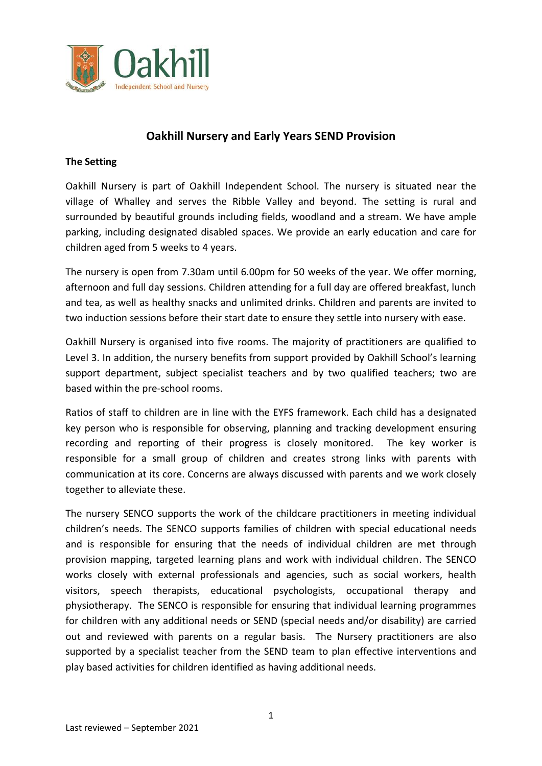

## **Oakhill Nursery and Early Years SEND Provision**

#### **The Setting**

Oakhill Nursery is part of Oakhill Independent School. The nursery is situated near the village of Whalley and serves the Ribble Valley and beyond. The setting is rural and surrounded by beautiful grounds including fields, woodland and a stream. We have ample parking, including designated disabled spaces. We provide an early education and care for children aged from 5 weeks to 4 years.

The nursery is open from 7.30am until 6.00pm for 50 weeks of the year. We offer morning, afternoon and full day sessions. Children attending for a full day are offered breakfast, lunch and tea, as well as healthy snacks and unlimited drinks. Children and parents are invited to two induction sessions before their start date to ensure they settle into nursery with ease.

Oakhill Nursery is organised into five rooms. The majority of practitioners are qualified to Level 3. In addition, the nursery benefits from support provided by Oakhill School's learning support department, subject specialist teachers and by two qualified teachers; two are based within the pre-school rooms.

Ratios of staff to children are in line with the EYFS framework. Each child has a designated key person who is responsible for observing, planning and tracking development ensuring recording and reporting of their progress is closely monitored. The key worker is responsible for a small group of children and creates strong links with parents with communication at its core. Concerns are always discussed with parents and we work closely together to alleviate these.

The nursery SENCO supports the work of the childcare practitioners in meeting individual children's needs. The SENCO supports families of children with special educational needs and is responsible for ensuring that the needs of individual children are met through provision mapping, targeted learning plans and work with individual children. The SENCO works closely with external professionals and agencies, such as social workers, health visitors, speech therapists, educational psychologists, occupational therapy and physiotherapy. The SENCO is responsible for ensuring that individual learning programmes for children with any additional needs or SEND (special needs and/or disability) are carried out and reviewed with parents on a regular basis. The Nursery practitioners are also supported by a specialist teacher from the SEND team to plan effective interventions and play based activities for children identified as having additional needs.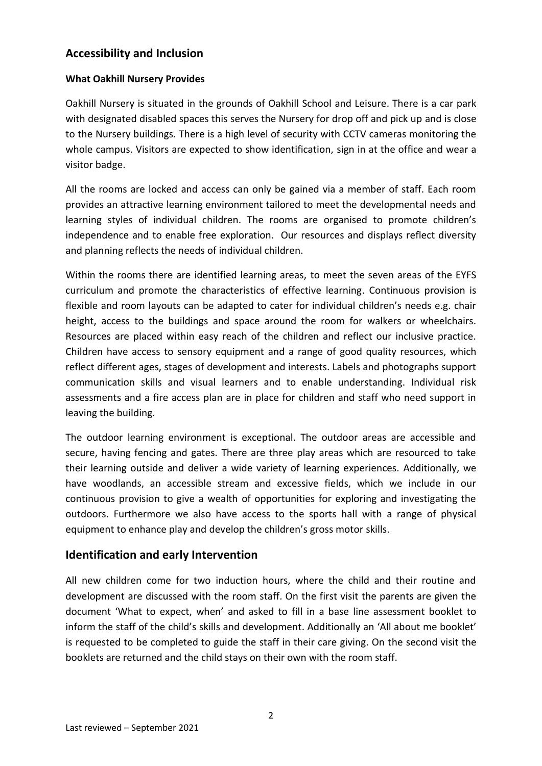# **Accessibility and Inclusion**

#### **What Oakhill Nursery Provides**

Oakhill Nursery is situated in the grounds of Oakhill School and Leisure. There is a car park with designated disabled spaces this serves the Nursery for drop off and pick up and is close to the Nursery buildings. There is a high level of security with CCTV cameras monitoring the whole campus. Visitors are expected to show identification, sign in at the office and wear a visitor badge.

All the rooms are locked and access can only be gained via a member of staff. Each room provides an attractive learning environment tailored to meet the developmental needs and learning styles of individual children. The rooms are organised to promote children's independence and to enable free exploration. Our resources and displays reflect diversity and planning reflects the needs of individual children.

Within the rooms there are identified learning areas, to meet the seven areas of the EYFS curriculum and promote the characteristics of effective learning. Continuous provision is flexible and room layouts can be adapted to cater for individual children's needs e.g. chair height, access to the buildings and space around the room for walkers or wheelchairs. Resources are placed within easy reach of the children and reflect our inclusive practice. Children have access to sensory equipment and a range of good quality resources, which reflect different ages, stages of development and interests. Labels and photographs support communication skills and visual learners and to enable understanding. Individual risk assessments and a fire access plan are in place for children and staff who need support in leaving the building.

The outdoor learning environment is exceptional. The outdoor areas are accessible and secure, having fencing and gates. There are three play areas which are resourced to take their learning outside and deliver a wide variety of learning experiences. Additionally, we have woodlands, an accessible stream and excessive fields, which we include in our continuous provision to give a wealth of opportunities for exploring and investigating the outdoors. Furthermore we also have access to the sports hall with a range of physical equipment to enhance play and develop the children's gross motor skills.

## **Identification and early Intervention**

All new children come for two induction hours, where the child and their routine and development are discussed with the room staff. On the first visit the parents are given the document 'What to expect, when' and asked to fill in a base line assessment booklet to inform the staff of the child's skills and development. Additionally an 'All about me booklet' is requested to be completed to guide the staff in their care giving. On the second visit the booklets are returned and the child stays on their own with the room staff.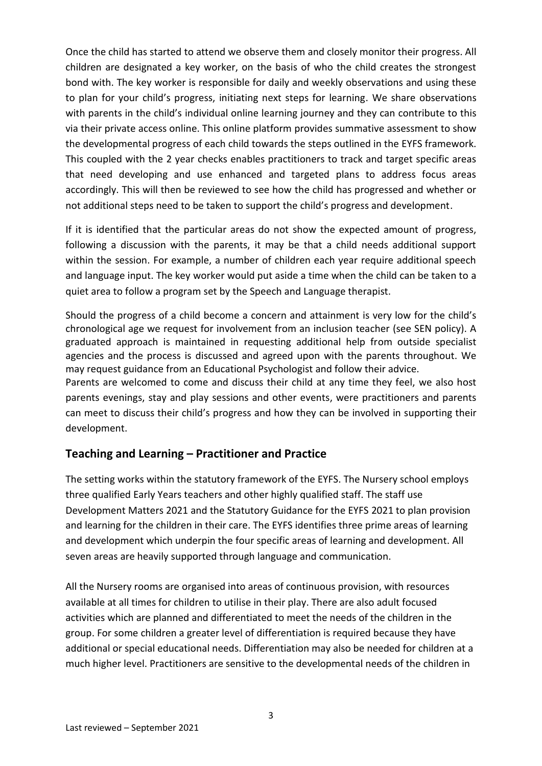Once the child has started to attend we observe them and closely monitor their progress. All children are designated a key worker, on the basis of who the child creates the strongest bond with. The key worker is responsible for daily and weekly observations and using these to plan for your child's progress, initiating next steps for learning. We share observations with parents in the child's individual online learning journey and they can contribute to this via their private access online. This online platform provides summative assessment to show the developmental progress of each child towards the steps outlined in the EYFS framework. This coupled with the 2 year checks enables practitioners to track and target specific areas that need developing and use enhanced and targeted plans to address focus areas accordingly. This will then be reviewed to see how the child has progressed and whether or not additional steps need to be taken to support the child's progress and development.

If it is identified that the particular areas do not show the expected amount of progress, following a discussion with the parents, it may be that a child needs additional support within the session. For example, a number of children each year require additional speech and language input. The key worker would put aside a time when the child can be taken to a quiet area to follow a program set by the Speech and Language therapist.

Should the progress of a child become a concern and attainment is very low for the child's chronological age we request for involvement from an inclusion teacher (see SEN policy). A graduated approach is maintained in requesting additional help from outside specialist agencies and the process is discussed and agreed upon with the parents throughout. We may request guidance from an Educational Psychologist and follow their advice.

Parents are welcomed to come and discuss their child at any time they feel, we also host parents evenings, stay and play sessions and other events, were practitioners and parents can meet to discuss their child's progress and how they can be involved in supporting their development.

# **Teaching and Learning – Practitioner and Practice**

The setting works within the statutory framework of the EYFS. The Nursery school employs three qualified Early Years teachers and other highly qualified staff. The staff use Development Matters 2021 and the Statutory Guidance for the EYFS 2021 to plan provision and learning for the children in their care. The EYFS identifies three prime areas of learning and development which underpin the four specific areas of learning and development. All seven areas are heavily supported through language and communication.

All the Nursery rooms are organised into areas of continuous provision, with resources available at all times for children to utilise in their play. There are also adult focused activities which are planned and differentiated to meet the needs of the children in the group. For some children a greater level of differentiation is required because they have additional or special educational needs. Differentiation may also be needed for children at a much higher level. Practitioners are sensitive to the developmental needs of the children in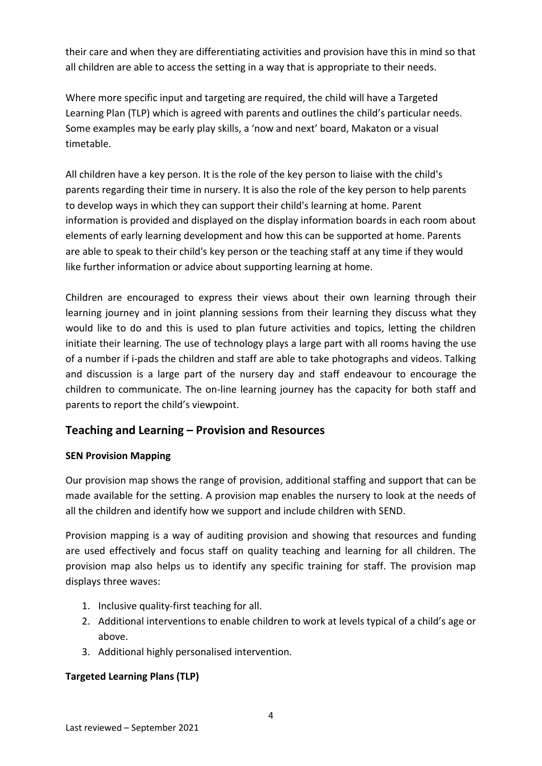their care and when they are differentiating activities and provision have this in mind so that all children are able to access the setting in a way that is appropriate to their needs.

Where more specific input and targeting are required, the child will have a Targeted Learning Plan (TLP) which is agreed with parents and outlines the child's particular needs. Some examples may be early play skills, a 'now and next' board, Makaton or a visual timetable.

All children have a key person. It is the role of the key person to liaise with the child's parents regarding their time in nursery. It is also the role of the key person to help parents to develop ways in which they can support their child's learning at home. Parent information is provided and displayed on the display information boards in each room about elements of early learning development and how this can be supported at home. Parents are able to speak to their child's key person or the teaching staff at any time if they would like further information or advice about supporting learning at home.

Children are encouraged to express their views about their own learning through their learning journey and in joint planning sessions from their learning they discuss what they would like to do and this is used to plan future activities and topics, letting the children initiate their learning. The use of technology plays a large part with all rooms having the use of a number if i-pads the children and staff are able to take photographs and videos. Talking and discussion is a large part of the nursery day and staff endeavour to encourage the children to communicate. The on-line learning journey has the capacity for both staff and parents to report the child's viewpoint.

# **Teaching and Learning – Provision and Resources**

## **SEN Provision Mapping**

Our provision map shows the range of provision, additional staffing and support that can be made available for the setting. A provision map enables the nursery to look at the needs of all the children and identify how we support and include children with SEND.

Provision mapping is a way of auditing provision and showing that resources and funding are used effectively and focus staff on quality teaching and learning for all children. The provision map also helps us to identify any specific training for staff. The provision map displays three waves:

- 1. Inclusive quality-first teaching for all.
- 2. Additional interventions to enable children to work at levels typical of a child's age or above.
- 3. Additional highly personalised intervention.

## **Targeted Learning Plans (TLP)**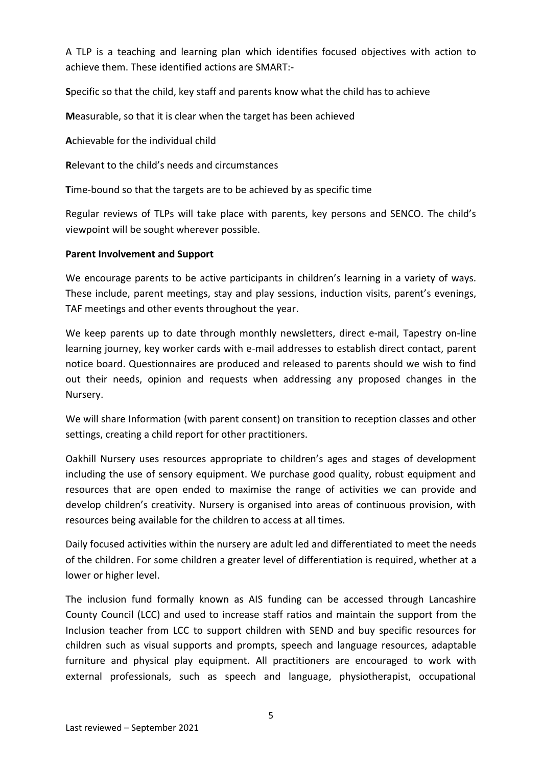A TLP is a teaching and learning plan which identifies focused objectives with action to achieve them. These identified actions are SMART:-

**S**pecific so that the child, key staff and parents know what the child has to achieve

**M**easurable, so that it is clear when the target has been achieved

**A**chievable for the individual child

**R**elevant to the child's needs and circumstances

**T**ime-bound so that the targets are to be achieved by as specific time

Regular reviews of TLPs will take place with parents, key persons and SENCO. The child's viewpoint will be sought wherever possible.

#### **Parent Involvement and Support**

We encourage parents to be active participants in children's learning in a variety of ways. These include, parent meetings, stay and play sessions, induction visits, parent's evenings, TAF meetings and other events throughout the year.

We keep parents up to date through monthly newsletters, direct e-mail, Tapestry on-line learning journey, key worker cards with e-mail addresses to establish direct contact, parent notice board. Questionnaires are produced and released to parents should we wish to find out their needs, opinion and requests when addressing any proposed changes in the Nursery.

We will share Information (with parent consent) on transition to reception classes and other settings, creating a child report for other practitioners.

Oakhill Nursery uses resources appropriate to children's ages and stages of development including the use of sensory equipment. We purchase good quality, robust equipment and resources that are open ended to maximise the range of activities we can provide and develop children's creativity. Nursery is organised into areas of continuous provision, with resources being available for the children to access at all times.

Daily focused activities within the nursery are adult led and differentiated to meet the needs of the children. For some children a greater level of differentiation is required, whether at a lower or higher level.

The inclusion fund formally known as AIS funding can be accessed through Lancashire County Council (LCC) and used to increase staff ratios and maintain the support from the Inclusion teacher from LCC to support children with SEND and buy specific resources for children such as visual supports and prompts, speech and language resources, adaptable furniture and physical play equipment. All practitioners are encouraged to work with external professionals, such as speech and language, physiotherapist, occupational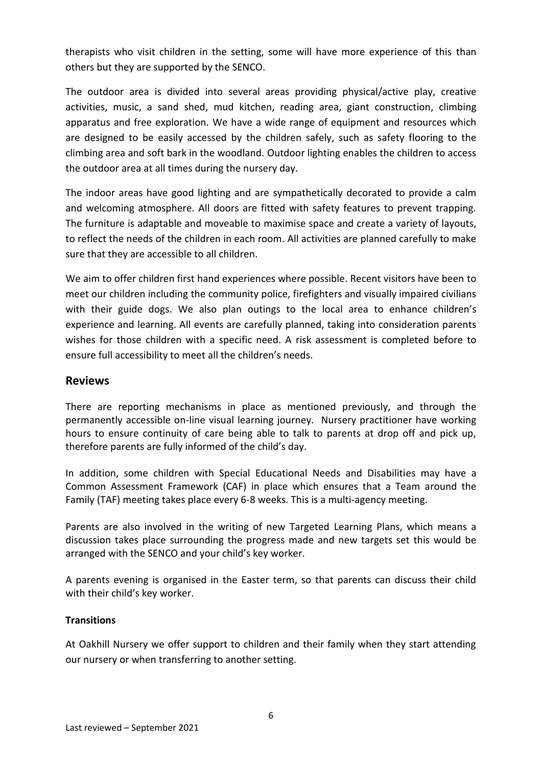therapists who visit children in the setting, some will have more experience of this than others but they are supported by the SENCO.

The outdoor area is divided into several areas providing physical/active play, creative activities, music, a sand shed, mud kitchen, reading area, giant construction, climbing apparatus and free exploration. We have a wide range of equipment and resources which are designed to be easily accessed by the children safely, such as safety flooring to the climbing area and soft bark in the woodland. Outdoor lighting enables the children to access the outdoor area at all times during the nursery day.

The indoor areas have good lighting and are sympathetically decorated to provide a calm and welcoming atmosphere. All doors are fitted with safety features to prevent trapping. The furniture is adaptable and moveable to maximise space and create a variety of layouts, to reflect the needs of the children in each room. All activities are planned carefully to make sure that they are accessible to all children.

We aim to offer children first hand experiences where possible. Recent visitors have been to meet our children including the community police, firefighters and visually impaired civilians with their guide dogs. We also plan outings to the local area to enhance children's experience and learning. All events are carefully planned, taking into consideration parents wishes for those children with a specific need. A risk assessment is completed before to ensure full accessibility to meet all the children's needs.

### **Reviews**

There are reporting mechanisms in place as mentioned previously, and through the permanently accessible on-line visual learning journey. Nursery practitioner have working hours to ensure continuity of care being able to talk to parents at drop off and pick up, therefore parents are fully informed of the child's day.

In addition, some children with Special Educational Needs and Disabilities may have a Common Assessment Framework (CAF) in place which ensures that a Team around the Family (TAF) meeting takes place every 6-8 weeks. This is a multi-agency meeting.

Parents are also involved in the writing of new Targeted Learning Plans, which means a discussion takes place surrounding the progress made and new targets set this would be arranged with the SENCO and your child's key worker.

A parents evening is organised in the Easter term, so that parents can discuss their child with their child's key worker.

#### **Transitions**

At Oakhill Nursery we offer support to children and their family when they start attending our nursery or when transferring to another setting.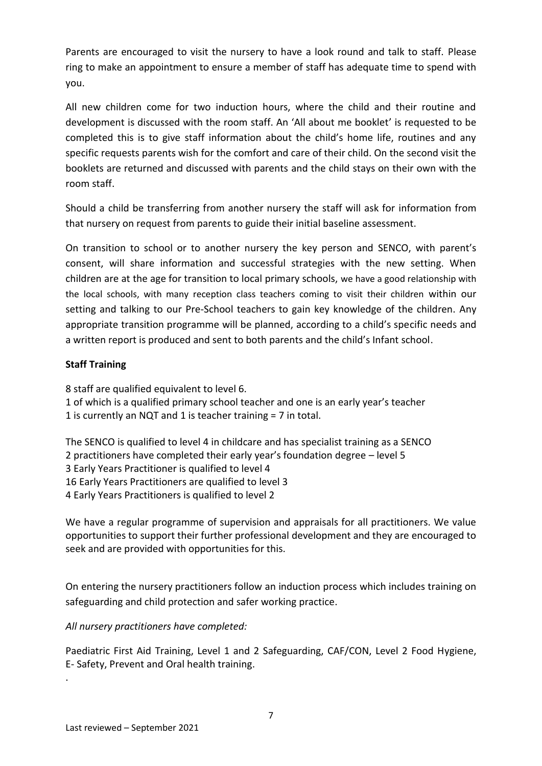Parents are encouraged to visit the nursery to have a look round and talk to staff. Please ring to make an appointment to ensure a member of staff has adequate time to spend with you.

All new children come for two induction hours, where the child and their routine and development is discussed with the room staff. An 'All about me booklet' is requested to be completed this is to give staff information about the child's home life, routines and any specific requests parents wish for the comfort and care of their child. On the second visit the booklets are returned and discussed with parents and the child stays on their own with the room staff.

Should a child be transferring from another nursery the staff will ask for information from that nursery on request from parents to guide their initial baseline assessment.

On transition to school or to another nursery the key person and SENCO, with parent's consent, will share information and successful strategies with the new setting. When children are at the age for transition to local primary schools, we have a good relationship with the local schools, with many reception class teachers coming to visit their children within our setting and talking to our Pre-School teachers to gain key knowledge of the children. Any appropriate transition programme will be planned, according to a child's specific needs and a written report is produced and sent to both parents and the child's Infant school.

#### **Staff Training**

8 staff are qualified equivalent to level 6. 1 of which is a qualified primary school teacher and one is an early year's teacher 1 is currently an NQT and 1 is teacher training = 7 in total.

The SENCO is qualified to level 4 in childcare and has specialist training as a SENCO 2 practitioners have completed their early year's foundation degree – level 5 3 Early Years Practitioner is qualified to level 4 16 Early Years Practitioners are qualified to level 3 4 Early Years Practitioners is qualified to level 2

We have a regular programme of supervision and appraisals for all practitioners. We value opportunities to support their further professional development and they are encouraged to seek and are provided with opportunities for this.

On entering the nursery practitioners follow an induction process which includes training on safeguarding and child protection and safer working practice.

*All nursery practitioners have completed:*

Paediatric First Aid Training, Level 1 and 2 Safeguarding, CAF/CON, Level 2 Food Hygiene, E- Safety, Prevent and Oral health training.

.